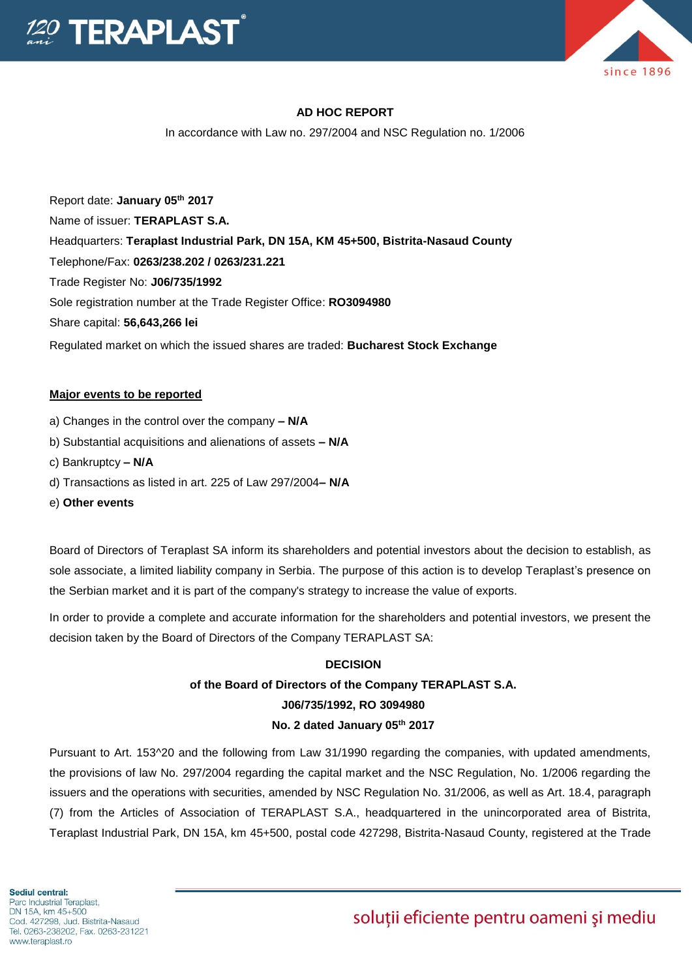

# **AD HOC REPORT**

In accordance with Law no. 297/2004 and NSC Regulation no. 1/2006

Report date: **January 05th 2017** Name of issuer: **TERAPLAST S.A.**  Headquarters: **Teraplast Industrial Park, DN 15A, KM 45+500, Bistrita-Nasaud County** Telephone/Fax: **0263/238.202 / 0263/231.221** Trade Register No: **J06/735/1992** Sole registration number at the Trade Register Office: **RO3094980** Share capital: **56,643,266 lei**  Regulated market on which the issued shares are traded: **Bucharest Stock Exchange**

#### **Major events to be reported**

- a) Changes in the control over the company **– N/A**
- b) Substantial acquisitions and alienations of assets **– N/A**
- c) Bankruptcy **– N/A**
- d) Transactions as listed in art. 225 of Law 297/2004**– N/A**
- e) **Other events**

Board of Directors of Teraplast SA inform its shareholders and potential investors about the decision to establish, as sole associate, a limited liability company in Serbia. The purpose of this action is to develop Teraplast's presence on the Serbian market and it is part of the company's strategy to increase the value of exports.

In order to provide a complete and accurate information for the shareholders and potential investors, we present the decision taken by the Board of Directors of the Company TERAPLAST SA:

# **DECISION**

# **of the Board of Directors of the Company TERAPLAST S.A.**

# **J06/735/1992, RO 3094980**

#### **No. 2 dated January 05th 2017**

Pursuant to Art. 153^20 and the following from Law 31/1990 regarding the companies, with updated amendments, the provisions of law No. 297/2004 regarding the capital market and the NSC Regulation, No. 1/2006 regarding the issuers and the operations with securities, amended by NSC Regulation No. 31/2006, as well as Art. 18.4, paragraph (7) from the Articles of Association of TERAPLAST S.A., headquartered in the unincorporated area of Bistrita, Teraplast Industrial Park, DN 15A, km 45+500, postal code 427298, Bistrita-Nasaud County, registered at the Trade